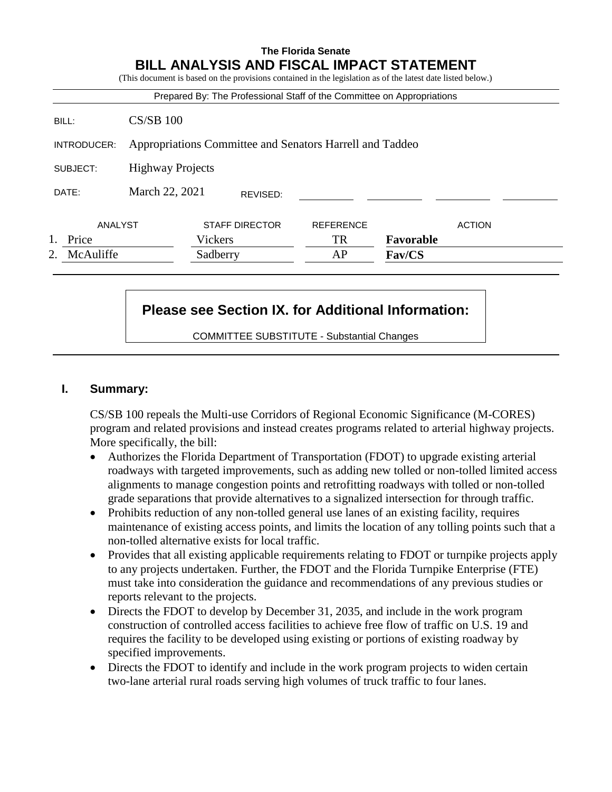# **The Florida Senate BILL ANALYSIS AND FISCAL IMPACT STATEMENT**

(This document is based on the provisions contained in the legislation as of the latest date listed below.)

| McAuliffe<br>2. |                                                          | Sadberry                                                               | AP               | Fav/CS    |               |
|-----------------|----------------------------------------------------------|------------------------------------------------------------------------|------------------|-----------|---------------|
| Price           |                                                          | Vickers                                                                | <b>TR</b>        | Favorable |               |
| ANALYST         |                                                          | <b>STAFF DIRECTOR</b>                                                  | <b>REFERENCE</b> |           | <b>ACTION</b> |
| DATE:           | March 22, 2021<br>REVISED:                               |                                                                        |                  |           |               |
| SUBJECT:        | <b>Highway Projects</b>                                  |                                                                        |                  |           |               |
| INTRODUCER:     | Appropriations Committee and Senators Harrell and Taddeo |                                                                        |                  |           |               |
| BILL:           | $CS/SB$ 100                                              |                                                                        |                  |           |               |
|                 |                                                          | Prepared By: The Professional Staff of the Committee on Appropriations |                  |           |               |

# **Please see Section IX. for Additional Information:**

COMMITTEE SUBSTITUTE - Substantial Changes

#### **I. Summary:**

CS/SB 100 repeals the Multi-use Corridors of Regional Economic Significance (M-CORES) program and related provisions and instead creates programs related to arterial highway projects. More specifically, the bill:

- Authorizes the Florida Department of Transportation (FDOT) to upgrade existing arterial roadways with targeted improvements, such as adding new tolled or non-tolled limited access alignments to manage congestion points and retrofitting roadways with tolled or non-tolled grade separations that provide alternatives to a signalized intersection for through traffic.
- Prohibits reduction of any non-tolled general use lanes of an existing facility, requires maintenance of existing access points, and limits the location of any tolling points such that a non-tolled alternative exists for local traffic.
- Provides that all existing applicable requirements relating to FDOT or turnpike projects apply to any projects undertaken. Further, the FDOT and the Florida Turnpike Enterprise (FTE) must take into consideration the guidance and recommendations of any previous studies or reports relevant to the projects.
- Directs the FDOT to develop by December 31, 2035, and include in the work program construction of controlled access facilities to achieve free flow of traffic on U.S. 19 and requires the facility to be developed using existing or portions of existing roadway by specified improvements.
- Directs the FDOT to identify and include in the work program projects to widen certain two-lane arterial rural roads serving high volumes of truck traffic to four lanes.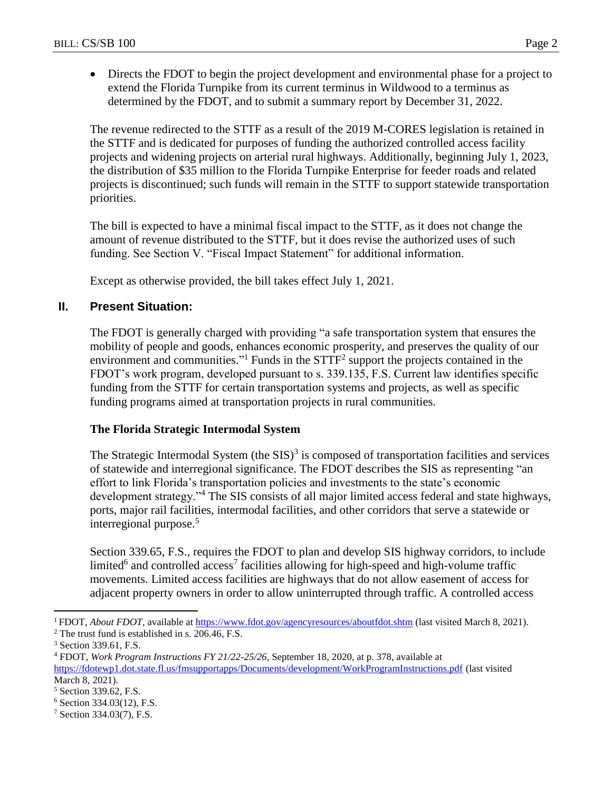Directs the FDOT to begin the project development and environmental phase for a project to extend the Florida Turnpike from its current terminus in Wildwood to a terminus as determined by the FDOT, and to submit a summary report by December 31, 2022.

The revenue redirected to the STTF as a result of the 2019 M-CORES legislation is retained in the STTF and is dedicated for purposes of funding the authorized controlled access facility projects and widening projects on arterial rural highways. Additionally, beginning July 1, 2023, the distribution of \$35 million to the Florida Turnpike Enterprise for feeder roads and related projects is discontinued; such funds will remain in the STTF to support statewide transportation priorities.

The bill is expected to have a minimal fiscal impact to the STTF, as it does not change the amount of revenue distributed to the STTF, but it does revise the authorized uses of such funding. See Section V. "Fiscal Impact Statement" for additional information.

Except as otherwise provided, the bill takes effect July 1, 2021.

# **II. Present Situation:**

The FDOT is generally charged with providing "a safe transportation system that ensures the mobility of people and goods, enhances economic prosperity, and preserves the quality of our environment and communities."<sup>1</sup> Funds in the  $STTF<sup>2</sup>$  support the projects contained in the FDOT's work program, developed pursuant to s. 339.135, F.S. Current law identifies specific funding from the STTF for certain transportation systems and projects, as well as specific funding programs aimed at transportation projects in rural communities.

# **The Florida Strategic Intermodal System**

The Strategic Intermodal System (the  $SIS$ )<sup>3</sup> is composed of transportation facilities and services of statewide and interregional significance. The FDOT describes the SIS as representing "an effort to link Florida's transportation policies and investments to the state's economic development strategy."<sup>4</sup> The SIS consists of all major limited access federal and state highways, ports, major rail facilities, intermodal facilities, and other corridors that serve a statewide or interregional purpose.<sup>5</sup>

Section 339.65, F.S., requires the FDOT to plan and develop SIS highway corridors, to include limited<sup>6</sup> and controlled access<sup>7</sup> facilities allowing for high-speed and high-volume traffic movements. Limited access facilities are highways that do not allow easement of access for adjacent property owners in order to allow uninterrupted through traffic. A controlled access

<sup>&</sup>lt;sup>1</sup> FDOT, *About FDOT*, available at<https://www.fdot.gov/agencyresources/aboutfdot.shtm> (last visited March 8, 2021).

<sup>2</sup> The trust fund is established in s. 206.46, F.S.

<sup>3</sup> Section 339.61, F.S.

<sup>4</sup> FDOT, *Work Program Instructions FY 21/22-25/26*, September 18, 2020, at p. 378, available at <https://fdotewp1.dot.state.fl.us/fmsupportapps/Documents/development/WorkProgramInstructions.pdf> (last visited March 8, 2021).

<sup>5</sup> Section 339.62, F.S.

<sup>6</sup> Section 334.03(12), F.S.

<sup>7</sup> Section 334.03(7), F.S.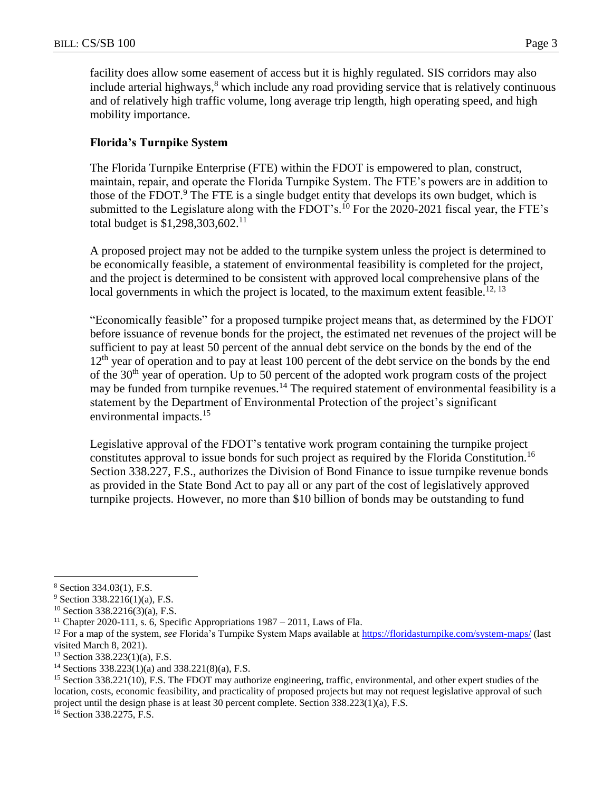facility does allow some easement of access but it is highly regulated. SIS corridors may also include arterial highways, <sup>8</sup> which include any road providing service that is relatively continuous and of relatively high traffic volume, long average trip length, high operating speed, and high mobility importance.

## **Florida's Turnpike System**

The Florida Turnpike Enterprise (FTE) within the FDOT is empowered to plan, construct, maintain, repair, and operate the Florida Turnpike System. The FTE's powers are in addition to those of the FDOT.<sup>9</sup> The FTE is a single budget entity that develops its own budget, which is submitted to the Legislature along with the FDOT's.<sup>10</sup> For the 2020-2021 fiscal year, the FTE's total budget is  $$1,298,303,602$ <sup>11</sup>

A proposed project may not be added to the turnpike system unless the project is determined to be economically feasible, a statement of environmental feasibility is completed for the project, and the project is determined to be consistent with approved local comprehensive plans of the local governments in which the project is located, to the maximum extent feasible.<sup>12, 13</sup>

"Economically feasible" for a proposed turnpike project means that, as determined by the FDOT before issuance of revenue bonds for the project, the estimated net revenues of the project will be sufficient to pay at least 50 percent of the annual debt service on the bonds by the end of the 12<sup>th</sup> year of operation and to pay at least 100 percent of the debt service on the bonds by the end of the 30th year of operation. Up to 50 percent of the adopted work program costs of the project may be funded from turnpike revenues.<sup>14</sup> The required statement of environmental feasibility is a statement by the Department of Environmental Protection of the project's significant environmental impacts.<sup>15</sup>

Legislative approval of the FDOT's tentative work program containing the turnpike project constitutes approval to issue bonds for such project as required by the Florida Constitution.<sup>16</sup> Section 338.227, F.S., authorizes the Division of Bond Finance to issue turnpike revenue bonds as provided in the State Bond Act to pay all or any part of the cost of legislatively approved turnpike projects. However, no more than \$10 billion of bonds may be outstanding to fund

<sup>8</sup> Section 334.03(1), F.S.

<sup>9</sup> Section 338.2216(1)(a), F.S.

<sup>10</sup> Section 338.2216(3)(a), F.S.

<sup>&</sup>lt;sup>11</sup> Chapter 2020-111, s. 6, Specific Appropriations  $1987 - 2011$ , Laws of Fla.

<sup>&</sup>lt;sup>12</sup> For a map of the system, *see* Florida's Turnpike System Maps available at<https://floridasturnpike.com/system-maps/> (last visited March 8, 2021).

 $13$  Section 338.223(1)(a), F.S.

<sup>&</sup>lt;sup>14</sup> Sections  $338.223(1)(a)$  and  $338.221(8)(a)$ , F.S.

<sup>&</sup>lt;sup>15</sup> Section 338.221(10), F.S. The FDOT may authorize engineering, traffic, environmental, and other expert studies of the location, costs, economic feasibility, and practicality of proposed projects but may not request legislative approval of such project until the design phase is at least 30 percent complete. Section 338.223(1)(a), F.S.

<sup>&</sup>lt;sup>16</sup> Section 338.2275, F.S.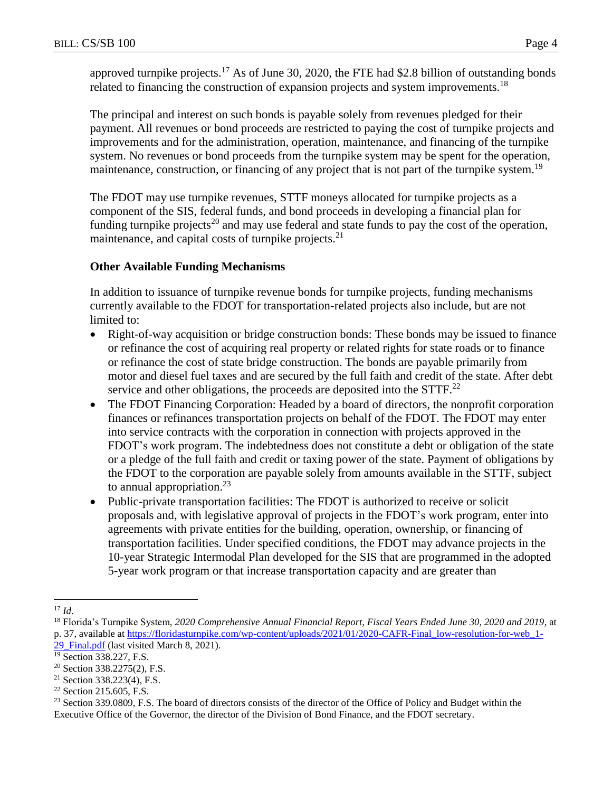approved turnpike projects.<sup>17</sup> As of June 30, 2020, the FTE had \$2.8 billion of outstanding bonds related to financing the construction of expansion projects and system improvements.<sup>18</sup>

The principal and interest on such bonds is payable solely from revenues pledged for their payment. All revenues or bond proceeds are restricted to paying the cost of turnpike projects and improvements and for the administration, operation, maintenance, and financing of the turnpike system. No revenues or bond proceeds from the turnpike system may be spent for the operation, maintenance, construction, or financing of any project that is not part of the turnpike system.<sup>19</sup>

The FDOT may use turnpike revenues, STTF moneys allocated for turnpike projects as a component of the SIS, federal funds, and bond proceeds in developing a financial plan for funding turnpike projects<sup>20</sup> and may use federal and state funds to pay the cost of the operation, maintenance, and capital costs of turnpike projects.<sup>21</sup>

## **Other Available Funding Mechanisms**

In addition to issuance of turnpike revenue bonds for turnpike projects, funding mechanisms currently available to the FDOT for transportation-related projects also include, but are not limited to:

- Right-of-way acquisition or bridge construction bonds: These bonds may be issued to finance or refinance the cost of acquiring real property or related rights for state roads or to finance or refinance the cost of state bridge construction. The bonds are payable primarily from motor and diesel fuel taxes and are secured by the full faith and credit of the state. After debt service and other obligations, the proceeds are deposited into the  $STTF<sup>22</sup>$
- The FDOT Financing Corporation: Headed by a board of directors, the nonprofit corporation finances or refinances transportation projects on behalf of the FDOT. The FDOT may enter into service contracts with the corporation in connection with projects approved in the FDOT's work program. The indebtedness does not constitute a debt or obligation of the state or a pledge of the full faith and credit or taxing power of the state. Payment of obligations by the FDOT to the corporation are payable solely from amounts available in the STTF, subject to annual appropriation. $^{23}$
- Public-private transportation facilities: The FDOT is authorized to receive or solicit proposals and, with legislative approval of projects in the FDOT's work program, enter into agreements with private entities for the building, operation, ownership, or financing of transportation facilities. Under specified conditions, the FDOT may advance projects in the 10-year Strategic Intermodal Plan developed for the SIS that are programmed in the adopted 5-year work program or that increase transportation capacity and are greater than

 $\overline{a}$ <sup>17</sup> *Id*.

<sup>18</sup> Florida's Turnpike System, *2020 Comprehensive Annual Financial Report, Fiscal Years Ended June 30, 2020 and 2019*, at p. 37, available at [https://floridasturnpike.com/wp-content/uploads/2021/01/2020-CAFR-Final\\_low-resolution-for-web\\_1-](https://floridasturnpike.com/wp-content/uploads/2021/01/2020-CAFR-Final_low-resolution-for-web_1-29_Final.pdf) 29 Final.pdf (last visited March 8, 2021).

<sup>&</sup>lt;sup>19</sup> Section 338.227, F.S.

<sup>20</sup> Section 338.2275(2), F.S.

<sup>21</sup> Section 338.223(4), F.S.

<sup>22</sup> Section 215.605, F.S.

<sup>&</sup>lt;sup>23</sup> Section 339.0809, F.S. The board of directors consists of the director of the Office of Policy and Budget within the Executive Office of the Governor, the director of the Division of Bond Finance, and the FDOT secretary.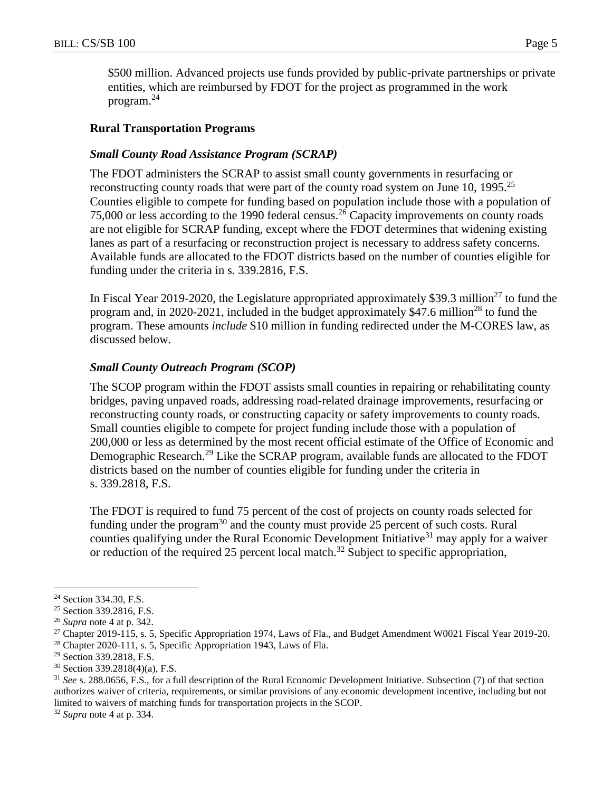\$500 million. Advanced projects use funds provided by public-private partnerships or private entities, which are reimbursed by FDOT for the project as programmed in the work program.<sup>24</sup>

## **Rural Transportation Programs**

#### *Small County Road Assistance Program (SCRAP)*

The FDOT administers the SCRAP to assist small county governments in resurfacing or reconstructing county roads that were part of the county road system on June 10, 1995.<sup>25</sup> Counties eligible to compete for funding based on population include those with a population of 75,000 or less according to the 1990 federal census.<sup>26</sup> Capacity improvements on county roads are not eligible for SCRAP funding, except where the FDOT determines that widening existing lanes as part of a resurfacing or reconstruction project is necessary to address safety concerns. Available funds are allocated to the FDOT districts based on the number of counties eligible for funding under the criteria in s. 339.2816, F.S.

In Fiscal Year 2019-2020, the Legislature appropriated approximately \$39.3 million<sup>27</sup> to fund the program and, in 2020-2021, included in the budget approximately  $$47.6$  million<sup>28</sup> to fund the program. These amounts *include* \$10 million in funding redirected under the M-CORES law, as discussed below.

#### *Small County Outreach Program (SCOP)*

The SCOP program within the FDOT assists small counties in repairing or rehabilitating county bridges, paving unpaved roads, addressing road-related drainage improvements, resurfacing or reconstructing county roads, or constructing capacity or safety improvements to county roads. Small counties eligible to compete for project funding include those with a population of 200,000 or less as determined by the most recent official estimate of the Office of Economic and Demographic Research.<sup>29</sup> Like the SCRAP program, available funds are allocated to the FDOT districts based on the number of counties eligible for funding under the criteria in s. 339.2818, F.S.

The FDOT is required to fund 75 percent of the cost of projects on county roads selected for funding under the program<sup>30</sup> and the county must provide  $25$  percent of such costs. Rural counties qualifying under the Rural Economic Development Initiative<sup>31</sup> may apply for a waiver or reduction of the required 25 percent local match.<sup>32</sup> Subject to specific appropriation,

<sup>&</sup>lt;sup>24</sup> Section 334.30, F.S.

<sup>25</sup> Section 339.2816, F.S.

<sup>26</sup> *Supra* note 4 at p. 342.

<sup>27</sup> Chapter 2019-115, s. 5, Specific Appropriation 1974, Laws of Fla., and Budget Amendment W0021 Fiscal Year 2019-20.

<sup>28</sup> Chapter 2020-111, s. 5, Specific Appropriation 1943, Laws of Fla.

<sup>29</sup> Section 339.2818, F.S.

<sup>30</sup> Section 339.2818(4)(a), F.S.

<sup>31</sup> *See* s. 288.0656, F.S., for a full description of the Rural Economic Development Initiative. Subsection (7) of that section authorizes waiver of criteria, requirements, or similar provisions of any economic development incentive, including but not limited to waivers of matching funds for transportation projects in the SCOP.

<sup>32</sup> *Supra* note 4 at p. 334.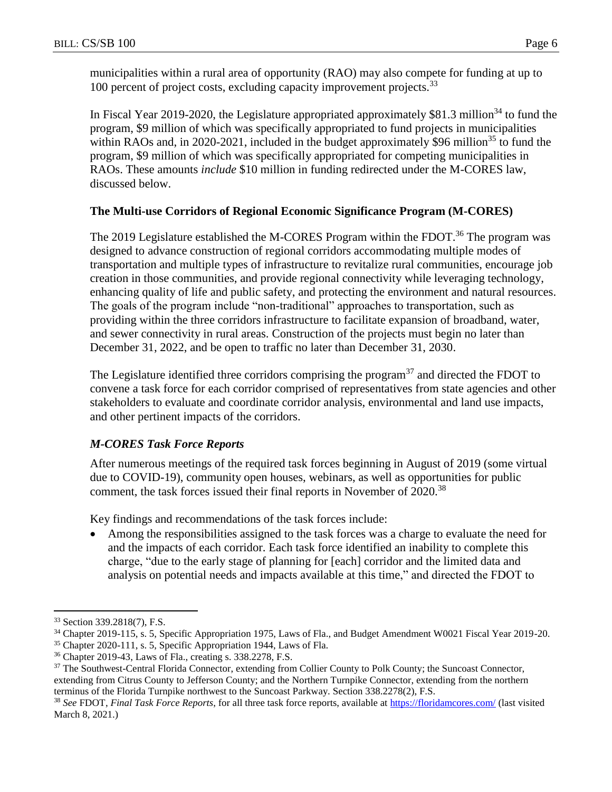municipalities within a rural area of opportunity (RAO) may also compete for funding at up to 100 percent of project costs, excluding capacity improvement projects.<sup>33</sup>

In Fiscal Year 2019-2020, the Legislature appropriated approximately \$81.3 million<sup>34</sup> to fund the program, \$9 million of which was specifically appropriated to fund projects in municipalities within RAOs and, in 2020-2021, included in the budget approximately \$96 million<sup>35</sup> to fund the program, \$9 million of which was specifically appropriated for competing municipalities in RAOs. These amounts *include* \$10 million in funding redirected under the M-CORES law, discussed below.

## **The Multi-use Corridors of Regional Economic Significance Program (M-CORES)**

The 2019 Legislature established the M-CORES Program within the FDOT.<sup>36</sup> The program was designed to advance construction of regional corridors accommodating multiple modes of transportation and multiple types of infrastructure to revitalize rural communities, encourage job creation in those communities, and provide regional connectivity while leveraging technology, enhancing quality of life and public safety, and protecting the environment and natural resources. The goals of the program include "non-traditional" approaches to transportation, such as providing within the three corridors infrastructure to facilitate expansion of broadband, water, and sewer connectivity in rural areas. Construction of the projects must begin no later than December 31, 2022, and be open to traffic no later than December 31, 2030.

The Legislature identified three corridors comprising the program<sup>37</sup> and directed the FDOT to convene a task force for each corridor comprised of representatives from state agencies and other stakeholders to evaluate and coordinate corridor analysis, environmental and land use impacts, and other pertinent impacts of the corridors.

# *M-CORES Task Force Reports*

After numerous meetings of the required task forces beginning in August of 2019 (some virtual due to COVID-19), community open houses, webinars, as well as opportunities for public comment, the task forces issued their final reports in November of 2020.<sup>38</sup>

Key findings and recommendations of the task forces include:

 Among the responsibilities assigned to the task forces was a charge to evaluate the need for and the impacts of each corridor. Each task force identified an inability to complete this charge, "due to the early stage of planning for [each] corridor and the limited data and analysis on potential needs and impacts available at this time," and directed the FDOT to

<sup>33</sup> Section 339.2818(7), F.S.

<sup>34</sup> Chapter 2019-115, s. 5, Specific Appropriation 1975, Laws of Fla., and Budget Amendment W0021 Fiscal Year 2019-20.

<sup>35</sup> Chapter 2020-111, s. 5, Specific Appropriation 1944, Laws of Fla.

<sup>36</sup> Chapter 2019-43, Laws of Fla., creating s. 338.2278, F.S.

<sup>&</sup>lt;sup>37</sup> The Southwest-Central Florida Connector, extending from Collier County to Polk County; the Suncoast Connector, extending from Citrus County to Jefferson County; and the Northern Turnpike Connector, extending from the northern terminus of the Florida Turnpike northwest to the Suncoast Parkway. Section 338.2278(2), F.S.

<sup>38</sup> *See* FDOT, *Final Task Force Reports*, for all three task force reports, available at<https://floridamcores.com/> (last visited March 8, 2021.)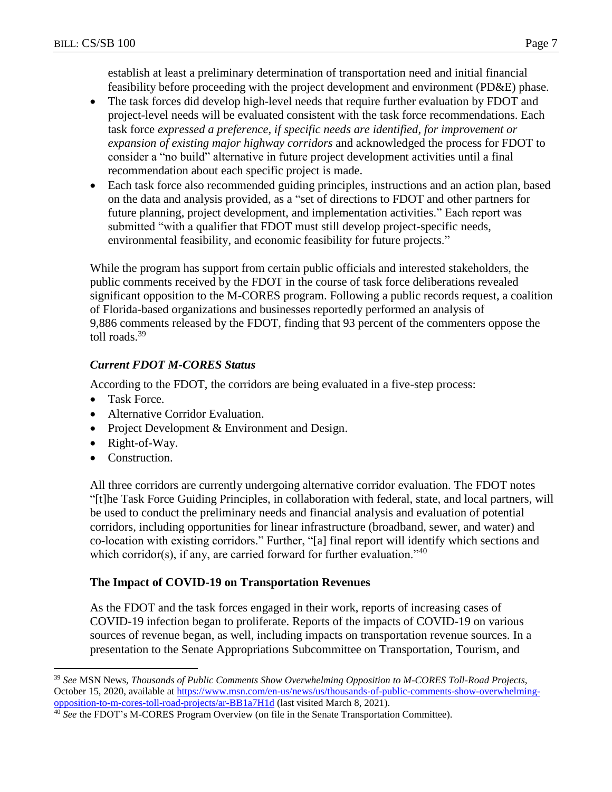establish at least a preliminary determination of transportation need and initial financial feasibility before proceeding with the project development and environment (PD&E) phase.

- The task forces did develop high-level needs that require further evaluation by FDOT and project-level needs will be evaluated consistent with the task force recommendations. Each task force *expressed a preference, if specific needs are identified, for improvement or expansion of existing major highway corridors* and acknowledged the process for FDOT to consider a "no build" alternative in future project development activities until a final recommendation about each specific project is made.
- Each task force also recommended guiding principles, instructions and an action plan, based on the data and analysis provided, as a "set of directions to FDOT and other partners for future planning, project development, and implementation activities." Each report was submitted "with a qualifier that FDOT must still develop project-specific needs, environmental feasibility, and economic feasibility for future projects."

While the program has support from certain public officials and interested stakeholders, the public comments received by the FDOT in the course of task force deliberations revealed significant opposition to the M-CORES program. Following a public records request, a coalition of Florida-based organizations and businesses reportedly performed an analysis of 9,886 comments released by the FDOT, finding that 93 percent of the commenters oppose the toll roads.<sup>39</sup>

# *Current FDOT M-CORES Status*

According to the FDOT, the corridors are being evaluated in a five-step process:

- Task Force.
- Alternative Corridor Evaluation.
- Project Development & Environment and Design.
- Right-of-Way.
- Construction.

 $\overline{a}$ 

All three corridors are currently undergoing alternative corridor evaluation. The FDOT notes "[t]he Task Force Guiding Principles, in collaboration with federal, state, and local partners, will be used to conduct the preliminary needs and financial analysis and evaluation of potential corridors, including opportunities for linear infrastructure (broadband, sewer, and water) and co-location with existing corridors." Further, "[a] final report will identify which sections and which corridor(s), if any, are carried forward for further evaluation."<sup>40</sup>

# **The Impact of COVID-19 on Transportation Revenues**

As the FDOT and the task forces engaged in their work, reports of increasing cases of COVID-19 infection began to proliferate. Reports of the impacts of COVID-19 on various sources of revenue began, as well, including impacts on transportation revenue sources. In a presentation to the Senate Appropriations Subcommittee on Transportation, Tourism, and

<sup>39</sup> *See* MSN News, *Thousands of Public Comments Show Overwhelming Opposition to M-CORES Toll-Road Projects*, October 15, 2020, available at [https://www.msn.com/en-us/news/us/thousands-of-public-comments-show-overwhelming](https://www.msn.com/en-us/news/us/thousands-of-public-comments-show-overwhelming-opposition-to-m-cores-toll-road-projects/ar-BB1a7H1d)[opposition-to-m-cores-toll-road-projects/ar-BB1a7H1d](https://www.msn.com/en-us/news/us/thousands-of-public-comments-show-overwhelming-opposition-to-m-cores-toll-road-projects/ar-BB1a7H1d) (last visited March 8, 2021).

<sup>40</sup> *See* the FDOT's M-CORES Program Overview (on file in the Senate Transportation Committee).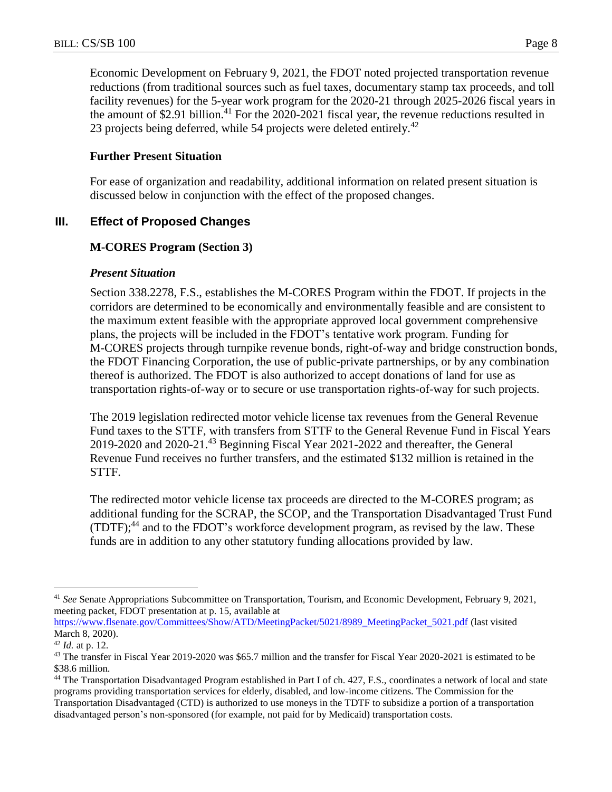Economic Development on February 9, 2021, the FDOT noted projected transportation revenue reductions (from traditional sources such as fuel taxes, documentary stamp tax proceeds, and toll facility revenues) for the 5-year work program for the 2020-21 through 2025-2026 fiscal years in the amount of \$2.91 billion.<sup>41</sup> For the 2020-2021 fiscal year, the revenue reductions resulted in 23 projects being deferred, while 54 projects were deleted entirely.<sup>42</sup>

## **Further Present Situation**

For ease of organization and readability, additional information on related present situation is discussed below in conjunction with the effect of the proposed changes.

# **III. Effect of Proposed Changes**

# **M-CORES Program (Section 3)**

## *Present Situation*

Section 338.2278, F.S., establishes the M-CORES Program within the FDOT. If projects in the corridors are determined to be economically and environmentally feasible and are consistent to the maximum extent feasible with the appropriate approved local government comprehensive plans, the projects will be included in the FDOT's tentative work program. Funding for M-CORES projects through turnpike revenue bonds, right-of-way and bridge construction bonds, the FDOT Financing Corporation, the use of public-private partnerships, or by any combination thereof is authorized. The FDOT is also authorized to accept donations of land for use as transportation rights-of-way or to secure or use transportation rights-of-way for such projects.

The 2019 legislation redirected motor vehicle license tax revenues from the General Revenue Fund taxes to the STTF, with transfers from STTF to the General Revenue Fund in Fiscal Years 2019-2020 and 2020-21. <sup>43</sup> Beginning Fiscal Year 2021-2022 and thereafter, the General Revenue Fund receives no further transfers, and the estimated \$132 million is retained in the STTF.

The redirected motor vehicle license tax proceeds are directed to the M-CORES program; as additional funding for the SCRAP, the SCOP, and the Transportation Disadvantaged Trust Fund (TDTF); <sup>44</sup> and to the FDOT's workforce development program, as revised by the law. These funds are in addition to any other statutory funding allocations provided by law.

 $\overline{a}$ <sup>41</sup> *See* Senate Appropriations Subcommittee on Transportation, Tourism, and Economic Development, February 9, 2021, meeting packet, FDOT presentation at p. 15, available at

[https://www.flsenate.gov/Committees/Show/ATD/MeetingPacket/5021/8989\\_MeetingPacket\\_5021.pdf](https://www.flsenate.gov/Committees/Show/ATD/MeetingPacket/5021/8989_MeetingPacket_5021.pdf) (last visited March 8, 2020).

<sup>42</sup> *Id.* at p. 12.

<sup>&</sup>lt;sup>43</sup> The transfer in Fiscal Year 2019-2020 was \$65.7 million and the transfer for Fiscal Year 2020-2021 is estimated to be \$38.6 million.

<sup>44</sup> The Transportation Disadvantaged Program established in Part I of ch. 427, F.S., coordinates a network of local and state programs providing transportation services for elderly, disabled, and low-income citizens. The Commission for the Transportation Disadvantaged (CTD) is authorized to use moneys in the TDTF to subsidize a portion of a transportation disadvantaged person's non-sponsored (for example, not paid for by Medicaid) transportation costs.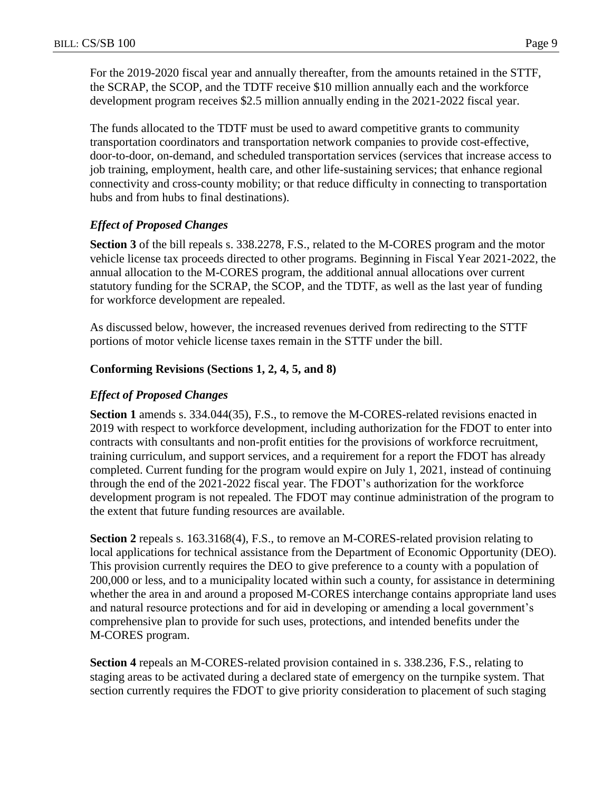For the 2019-2020 fiscal year and annually thereafter, from the amounts retained in the STTF, the SCRAP, the SCOP, and the TDTF receive \$10 million annually each and the workforce development program receives \$2.5 million annually ending in the 2021-2022 fiscal year.

The funds allocated to the TDTF must be used to award competitive grants to community transportation coordinators and transportation network companies to provide cost-effective, door-to-door, on-demand, and scheduled transportation services (services that increase access to job training, employment, health care, and other life-sustaining services; that enhance regional connectivity and cross-county mobility; or that reduce difficulty in connecting to transportation hubs and from hubs to final destinations).

# *Effect of Proposed Changes*

**Section 3** of the bill repeals s. 338.2278, F.S., related to the M-CORES program and the motor vehicle license tax proceeds directed to other programs. Beginning in Fiscal Year 2021-2022, the annual allocation to the M-CORES program, the additional annual allocations over current statutory funding for the SCRAP, the SCOP, and the TDTF, as well as the last year of funding for workforce development are repealed.

As discussed below, however, the increased revenues derived from redirecting to the STTF portions of motor vehicle license taxes remain in the STTF under the bill.

## **Conforming Revisions (Sections 1, 2, 4, 5, and 8)**

## *Effect of Proposed Changes*

**Section 1** amends s. 334.044(35), F.S., to remove the M-CORES-related revisions enacted in 2019 with respect to workforce development, including authorization for the FDOT to enter into contracts with consultants and non-profit entities for the provisions of workforce recruitment, training curriculum, and support services, and a requirement for a report the FDOT has already completed. Current funding for the program would expire on July 1, 2021, instead of continuing through the end of the 2021-2022 fiscal year. The FDOT's authorization for the workforce development program is not repealed. The FDOT may continue administration of the program to the extent that future funding resources are available.

**Section 2** repeals s. 163.3168(4), F.S., to remove an M-CORES-related provision relating to local applications for technical assistance from the Department of Economic Opportunity (DEO). This provision currently requires the DEO to give preference to a county with a population of 200,000 or less, and to a municipality located within such a county, for assistance in determining whether the area in and around a proposed M-CORES interchange contains appropriate land uses and natural resource protections and for aid in developing or amending a local government's comprehensive plan to provide for such uses, protections, and intended benefits under the M-CORES program.

**Section 4** repeals an M-CORES-related provision contained in s. 338.236, F.S., relating to staging areas to be activated during a declared state of emergency on the turnpike system. That section currently requires the FDOT to give priority consideration to placement of such staging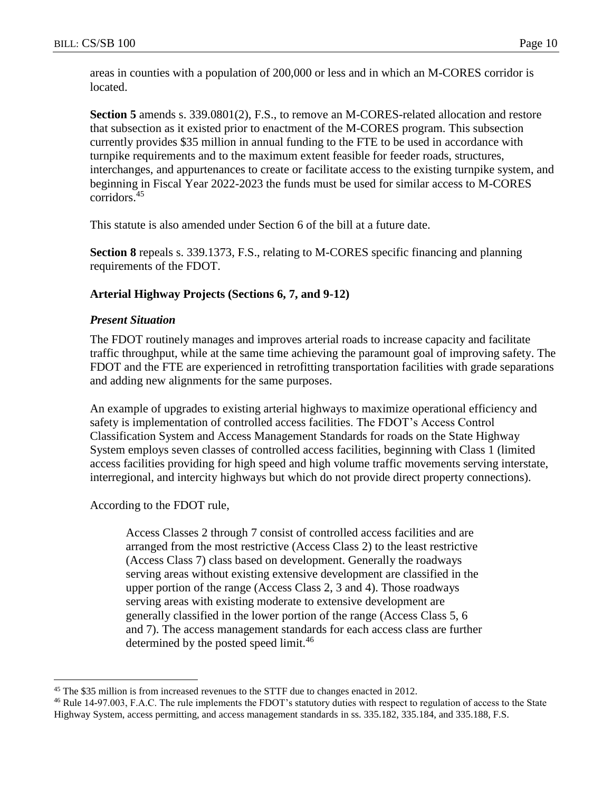areas in counties with a population of 200,000 or less and in which an M-CORES corridor is located.

Section 5 amends s. 339.0801(2), F.S., to remove an M-CORES-related allocation and restore that subsection as it existed prior to enactment of the M-CORES program. This subsection currently provides \$35 million in annual funding to the FTE to be used in accordance with turnpike requirements and to the maximum extent feasible for feeder roads, structures, interchanges, and appurtenances to create or facilitate access to the existing turnpike system, and beginning in Fiscal Year 2022-2023 the funds must be used for similar access to M-CORES corridors.<sup>45</sup>

This statute is also amended under Section 6 of the bill at a future date.

**Section 8** repeals s. 339.1373, F.S., relating to M-CORES specific financing and planning requirements of the FDOT.

## **Arterial Highway Projects (Sections 6, 7, and 9-12)**

#### *Present Situation*

The FDOT routinely manages and improves arterial roads to increase capacity and facilitate traffic throughput, while at the same time achieving the paramount goal of improving safety. The FDOT and the FTE are experienced in retrofitting transportation facilities with grade separations and adding new alignments for the same purposes.

An example of upgrades to existing arterial highways to maximize operational efficiency and safety is implementation of controlled access facilities. The FDOT's Access Control Classification System and Access Management Standards for roads on the State Highway System employs seven classes of controlled access facilities, beginning with Class 1 (limited access facilities providing for high speed and high volume traffic movements serving interstate, interregional, and intercity highways but which do not provide direct property connections).

According to the FDOT rule,

 $\overline{a}$ 

Access Classes 2 through 7 consist of controlled access facilities and are arranged from the most restrictive (Access Class 2) to the least restrictive (Access Class 7) class based on development. Generally the roadways serving areas without existing extensive development are classified in the upper portion of the range (Access Class 2, 3 and 4). Those roadways serving areas with existing moderate to extensive development are generally classified in the lower portion of the range (Access Class 5, 6 and 7). The access management standards for each access class are further determined by the posted speed limit.<sup>46</sup>

<sup>&</sup>lt;sup>45</sup> The \$35 million is from increased revenues to the STTF due to changes enacted in 2012.

<sup>46</sup> Rule 14-97.003, F.A.C. The rule implements the FDOT's statutory duties with respect to regulation of access to the State Highway System, access permitting, and access management standards in ss. 335.182, 335.184, and 335.188, F.S.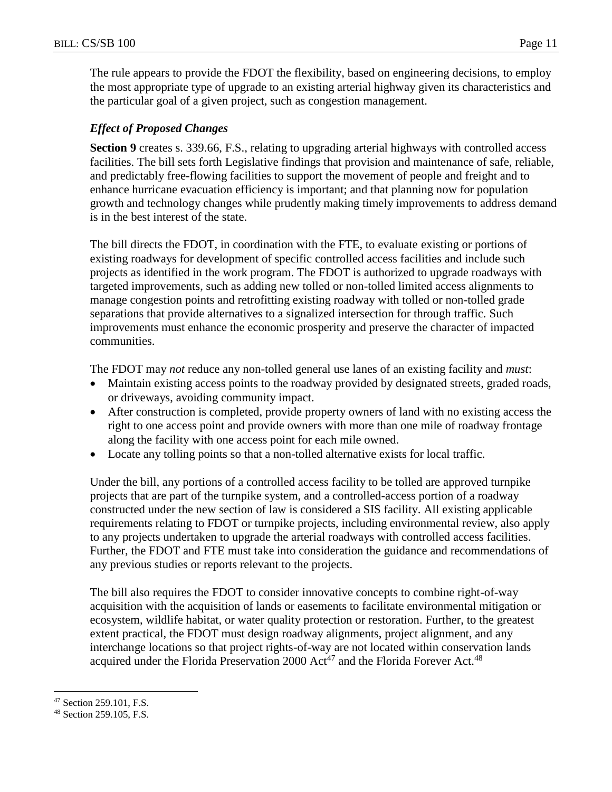The rule appears to provide the FDOT the flexibility, based on engineering decisions, to employ the most appropriate type of upgrade to an existing arterial highway given its characteristics and the particular goal of a given project, such as congestion management.

# *Effect of Proposed Changes*

**Section 9** creates s. 339.66, F.S., relating to upgrading arterial highways with controlled access facilities. The bill sets forth Legislative findings that provision and maintenance of safe, reliable, and predictably free-flowing facilities to support the movement of people and freight and to enhance hurricane evacuation efficiency is important; and that planning now for population growth and technology changes while prudently making timely improvements to address demand is in the best interest of the state.

The bill directs the FDOT, in coordination with the FTE, to evaluate existing or portions of existing roadways for development of specific controlled access facilities and include such projects as identified in the work program. The FDOT is authorized to upgrade roadways with targeted improvements, such as adding new tolled or non-tolled limited access alignments to manage congestion points and retrofitting existing roadway with tolled or non-tolled grade separations that provide alternatives to a signalized intersection for through traffic. Such improvements must enhance the economic prosperity and preserve the character of impacted communities.

The FDOT may *not* reduce any non-tolled general use lanes of an existing facility and *must*:

- Maintain existing access points to the roadway provided by designated streets, graded roads, or driveways, avoiding community impact.
- After construction is completed, provide property owners of land with no existing access the right to one access point and provide owners with more than one mile of roadway frontage along the facility with one access point for each mile owned.
- Locate any tolling points so that a non-tolled alternative exists for local traffic.

Under the bill, any portions of a controlled access facility to be tolled are approved turnpike projects that are part of the turnpike system, and a controlled-access portion of a roadway constructed under the new section of law is considered a SIS facility. All existing applicable requirements relating to FDOT or turnpike projects, including environmental review, also apply to any projects undertaken to upgrade the arterial roadways with controlled access facilities. Further, the FDOT and FTE must take into consideration the guidance and recommendations of any previous studies or reports relevant to the projects.

The bill also requires the FDOT to consider innovative concepts to combine right-of-way acquisition with the acquisition of lands or easements to facilitate environmental mitigation or ecosystem, wildlife habitat, or water quality protection or restoration. Further, to the greatest extent practical, the FDOT must design roadway alignments, project alignment, and any interchange locations so that project rights-of-way are not located within conservation lands acquired under the Florida Preservation 2000  $\text{Act}^{47}$  and the Florida Forever Act.<sup>48</sup>

<sup>47</sup> Section 259.101, F.S.

<sup>48</sup> Section 259.105, F.S.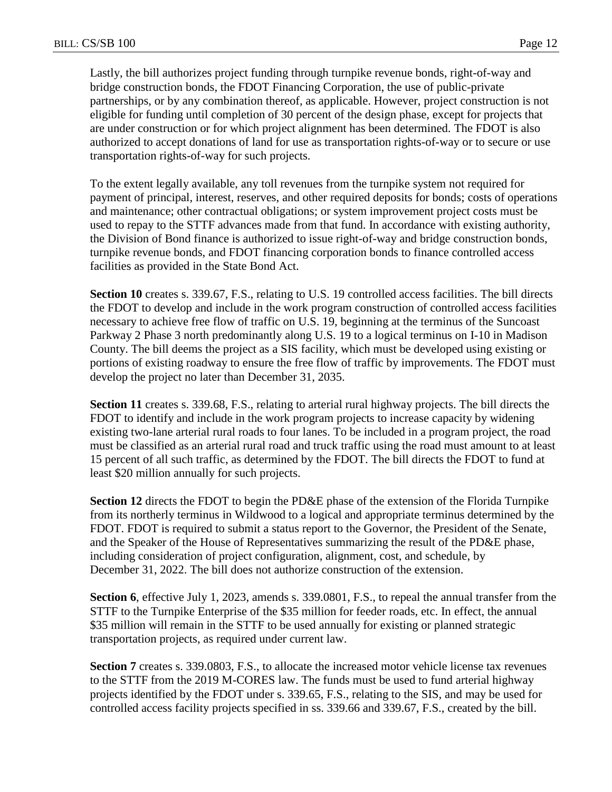Lastly, the bill authorizes project funding through turnpike revenue bonds, right-of-way and bridge construction bonds, the FDOT Financing Corporation, the use of public-private partnerships, or by any combination thereof, as applicable. However, project construction is not eligible for funding until completion of 30 percent of the design phase, except for projects that are under construction or for which project alignment has been determined. The FDOT is also authorized to accept donations of land for use as transportation rights-of-way or to secure or use transportation rights-of-way for such projects.

To the extent legally available, any toll revenues from the turnpike system not required for payment of principal, interest, reserves, and other required deposits for bonds; costs of operations and maintenance; other contractual obligations; or system improvement project costs must be used to repay to the STTF advances made from that fund. In accordance with existing authority, the Division of Bond finance is authorized to issue right-of-way and bridge construction bonds, turnpike revenue bonds, and FDOT financing corporation bonds to finance controlled access facilities as provided in the State Bond Act.

**Section 10** creates s. 339.67, F.S., relating to U.S. 19 controlled access facilities. The bill directs the FDOT to develop and include in the work program construction of controlled access facilities necessary to achieve free flow of traffic on U.S. 19, beginning at the terminus of the Suncoast Parkway 2 Phase 3 north predominantly along U.S. 19 to a logical terminus on I-10 in Madison County. The bill deems the project as a SIS facility, which must be developed using existing or portions of existing roadway to ensure the free flow of traffic by improvements. The FDOT must develop the project no later than December 31, 2035.

**Section 11** creates s. 339.68, F.S., relating to arterial rural highway projects. The bill directs the FDOT to identify and include in the work program projects to increase capacity by widening existing two-lane arterial rural roads to four lanes. To be included in a program project, the road must be classified as an arterial rural road and truck traffic using the road must amount to at least 15 percent of all such traffic, as determined by the FDOT. The bill directs the FDOT to fund at least \$20 million annually for such projects.

**Section 12** directs the FDOT to begin the PD&E phase of the extension of the Florida Turnpike from its northerly terminus in Wildwood to a logical and appropriate terminus determined by the FDOT. FDOT is required to submit a status report to the Governor, the President of the Senate, and the Speaker of the House of Representatives summarizing the result of the PD&E phase, including consideration of project configuration, alignment, cost, and schedule, by December 31, 2022. The bill does not authorize construction of the extension.

**Section 6**, effective July 1, 2023, amends s. 339.0801, F.S., to repeal the annual transfer from the STTF to the Turnpike Enterprise of the \$35 million for feeder roads, etc. In effect, the annual \$35 million will remain in the STTF to be used annually for existing or planned strategic transportation projects, as required under current law.

**Section 7** creates s. 339.0803, F.S., to allocate the increased motor vehicle license tax revenues to the STTF from the 2019 M-CORES law. The funds must be used to fund arterial highway projects identified by the FDOT under s. 339.65, F.S., relating to the SIS, and may be used for controlled access facility projects specified in ss. 339.66 and 339.67, F.S., created by the bill.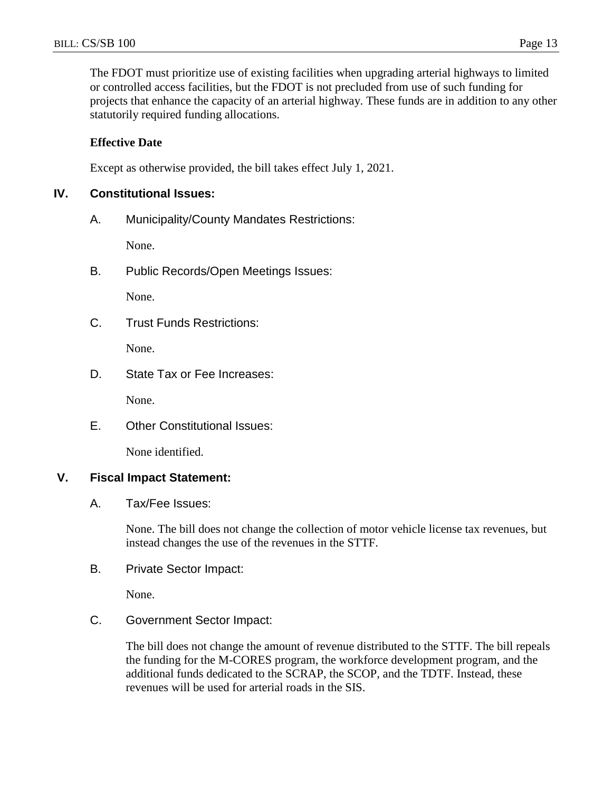The FDOT must prioritize use of existing facilities when upgrading arterial highways to limited or controlled access facilities, but the FDOT is not precluded from use of such funding for projects that enhance the capacity of an arterial highway. These funds are in addition to any other statutorily required funding allocations.

## **Effective Date**

Except as otherwise provided, the bill takes effect July 1, 2021.

## **IV. Constitutional Issues:**

A. Municipality/County Mandates Restrictions:

None.

B. Public Records/Open Meetings Issues:

None.

C. Trust Funds Restrictions:

None.

D. State Tax or Fee Increases:

None.

E. Other Constitutional Issues:

None identified.

## **V. Fiscal Impact Statement:**

A. Tax/Fee Issues:

None. The bill does not change the collection of motor vehicle license tax revenues, but instead changes the use of the revenues in the STTF.

B. Private Sector Impact:

None.

C. Government Sector Impact:

The bill does not change the amount of revenue distributed to the STTF. The bill repeals the funding for the M-CORES program, the workforce development program, and the additional funds dedicated to the SCRAP, the SCOP, and the TDTF. Instead, these revenues will be used for arterial roads in the SIS.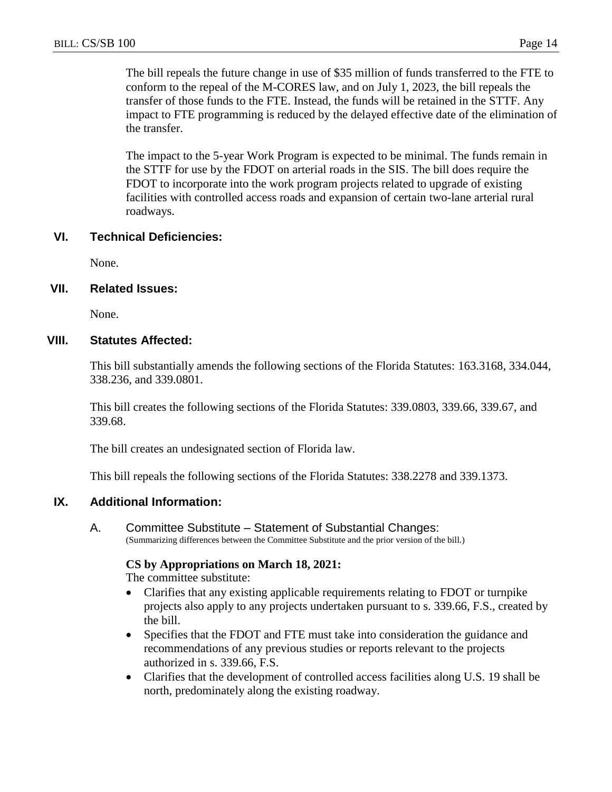The bill repeals the future change in use of \$35 million of funds transferred to the FTE to conform to the repeal of the M-CORES law, and on July 1, 2023, the bill repeals the transfer of those funds to the FTE. Instead, the funds will be retained in the STTF. Any impact to FTE programming is reduced by the delayed effective date of the elimination of the transfer.

The impact to the 5-year Work Program is expected to be minimal. The funds remain in the STTF for use by the FDOT on arterial roads in the SIS. The bill does require the FDOT to incorporate into the work program projects related to upgrade of existing facilities with controlled access roads and expansion of certain two-lane arterial rural roadways.

#### **VI. Technical Deficiencies:**

None.

#### **VII. Related Issues:**

None.

#### **VIII. Statutes Affected:**

This bill substantially amends the following sections of the Florida Statutes: 163.3168, 334.044, 338.236, and 339.0801.

This bill creates the following sections of the Florida Statutes: 339.0803, 339.66, 339.67, and 339.68.

The bill creates an undesignated section of Florida law.

This bill repeals the following sections of the Florida Statutes: 338.2278 and 339.1373.

## **IX. Additional Information:**

A. Committee Substitute – Statement of Substantial Changes: (Summarizing differences between the Committee Substitute and the prior version of the bill.)

#### **CS by Appropriations on March 18, 2021:**

The committee substitute:

- Clarifies that any existing applicable requirements relating to FDOT or turnpike projects also apply to any projects undertaken pursuant to s. 339.66, F.S., created by the bill.
- Specifies that the FDOT and FTE must take into consideration the guidance and recommendations of any previous studies or reports relevant to the projects authorized in s. 339.66, F.S.
- Clarifies that the development of controlled access facilities along U.S. 19 shall be north, predominately along the existing roadway.